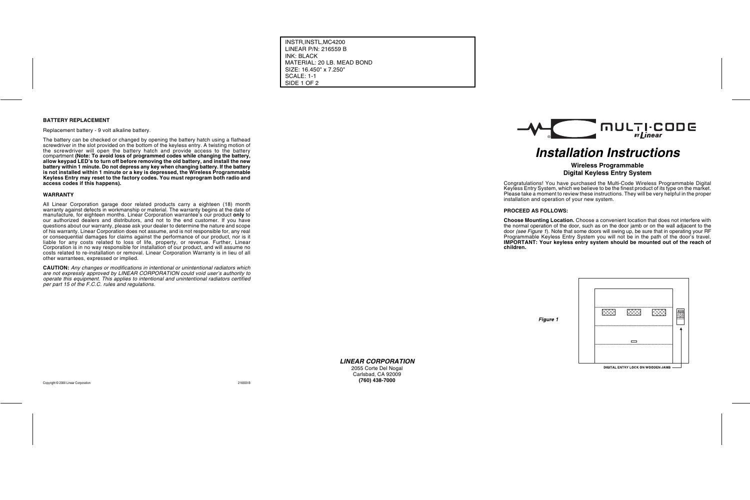#### **BATTERY REPLACEMENT**

Replacement battery - 9 volt alkaline battery.

The battery can be checked or changed by opening the battery hatch using a flathead screwdriver in the slot provided on the bottom of the keyless entry. A twisting motion of the screwdriver will open the battery hatch and provide access to the battery compartment **(Note: To avoid loss of programmed codes while changing the battery, allow keypad LED's to turn off before removing the old battery, and install the new battery within 1 minute. Do not depress any key when changing battery. If the battery is not installed within 1 minute or a key is depressed, the Wireless Programmable Keyless Entry may reset to the factory codes. You must reprogram both radio and access codes if this happens).**

#### **WARRANTY**

All Linear Corporation garage door related products carry a eighteen (18) month warranty against defects in workmanship or material. The warranty begins at the date of manufacture, for eighteen months. Linear Corporation warrantee's our product **only** to our authorized dealers and distributors, and not to the end customer. If you have questions about our warranty, please ask your dealer to determine the nature and scope of his warranty. Linear Corporation does not assume, and is not responsible for, any real or consequential damages for claims against the performance of our product, nor is it liable for any costs related to loss of life, property, or revenue. Further, Linear Corporation is in no way responsible for installation of our product, and will assume no costs related to re-installation or removal. Linear Corporation Warranty is in lieu of all other warrantees, expressed or implied.

**CAUTION:** Any changes or modifications in intentional or unintentional radiators which are not expressly approved by LINEAR CORPORATION could void user's authority to operate this equipment. This applies to intentional and unintentional radiators certified per part 15 of the F.C.C. rules and regulations.

**LINEAR CORPORATION** 2055 Corte Del Nogal Carlsbad, CA 92009 **(760) 438-7000**

# **Installation Instructions**

## **Wireless Programmable Digital Keyless Entry System**

Congratulations! You have purchased the Multi-Code Wireless Programmable Digital Keyless Entry System, which we believe to be the finest product of its type on the market. Please take a moment to review these instructions. They will be very helpful in the proper installation and operation of your new system.

**PROCEED AS FOLLOWS:**

**Choose Mounting Location.** Choose a convenient location that does not interfere with the normal operation of the door, such as on the door jamb or on the wall adjacent to the door (see Figure 1). Note that some doors will swing up, be sure that in operating your RF Programmable Keyless Entry System you will not be in the path of the door's travel. **IMPORTANT: Your keyless entry system should be mounted out of the reach of**

**children.**

**Figure 1**